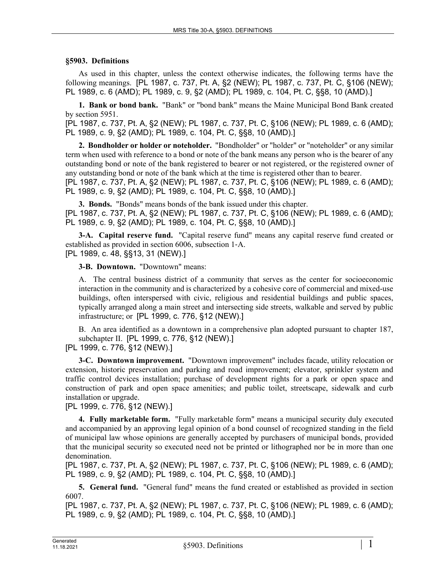## **§5903. Definitions**

As used in this chapter, unless the context otherwise indicates, the following terms have the following meanings. [PL 1987, c. 737, Pt. A, §2 (NEW); PL 1987, c. 737, Pt. C, §106 (NEW); PL 1989, c. 6 (AMD); PL 1989, c. 9, §2 (AMD); PL 1989, c. 104, Pt. C, §§8, 10 (AMD).]

**1. Bank or bond bank.** "Bank" or "bond bank" means the Maine Municipal Bond Bank created by section 5951.

[PL 1987, c. 737, Pt. A, §2 (NEW); PL 1987, c. 737, Pt. C, §106 (NEW); PL 1989, c. 6 (AMD); PL 1989, c. 9, §2 (AMD); PL 1989, c. 104, Pt. C, §§8, 10 (AMD).]

**2. Bondholder or holder or noteholder.** "Bondholder" or "holder" or "noteholder" or any similar term when used with reference to a bond or note of the bank means any person who is the bearer of any outstanding bond or note of the bank registered to bearer or not registered, or the registered owner of any outstanding bond or note of the bank which at the time is registered other than to bearer.

[PL 1987, c. 737, Pt. A, §2 (NEW); PL 1987, c. 737, Pt. C, §106 (NEW); PL 1989, c. 6 (AMD); PL 1989, c. 9, §2 (AMD); PL 1989, c. 104, Pt. C, §§8, 10 (AMD).]

**3. Bonds.** "Bonds" means bonds of the bank issued under this chapter. [PL 1987, c. 737, Pt. A, §2 (NEW); PL 1987, c. 737, Pt. C, §106 (NEW); PL 1989, c. 6 (AMD); PL 1989, c. 9, §2 (AMD); PL 1989, c. 104, Pt. C, §§8, 10 (AMD).]

**3-A. Capital reserve fund.** "Capital reserve fund" means any capital reserve fund created or established as provided in section 6006, subsection 1‑A. [PL 1989, c. 48, §§13, 31 (NEW).]

**3-B. Downtown.** "Downtown" means:

A. The central business district of a community that serves as the center for socioeconomic interaction in the community and is characterized by a cohesive core of commercial and mixed-use buildings, often interspersed with civic, religious and residential buildings and public spaces, typically arranged along a main street and intersecting side streets, walkable and served by public infrastructure; or [PL 1999, c. 776, §12 (NEW).]

B. An area identified as a downtown in a comprehensive plan adopted pursuant to chapter 187, subchapter II. [PL 1999, c. 776, §12 (NEW).]

[PL 1999, c. 776, §12 (NEW).]

**3-C. Downtown improvement.** "Downtown improvement" includes facade, utility relocation or extension, historic preservation and parking and road improvement; elevator, sprinkler system and traffic control devices installation; purchase of development rights for a park or open space and construction of park and open space amenities; and public toilet, streetscape, sidewalk and curb installation or upgrade.

[PL 1999, c. 776, §12 (NEW).]

**4. Fully marketable form.** "Fully marketable form" means a municipal security duly executed and accompanied by an approving legal opinion of a bond counsel of recognized standing in the field of municipal law whose opinions are generally accepted by purchasers of municipal bonds, provided that the municipal security so executed need not be printed or lithographed nor be in more than one denomination.

[PL 1987, c. 737, Pt. A, §2 (NEW); PL 1987, c. 737, Pt. C, §106 (NEW); PL 1989, c. 6 (AMD); PL 1989, c. 9, §2 (AMD); PL 1989, c. 104, Pt. C, §§8, 10 (AMD).]

**5. General fund.** "General fund" means the fund created or established as provided in section 6007.

[PL 1987, c. 737, Pt. A, §2 (NEW); PL 1987, c. 737, Pt. C, §106 (NEW); PL 1989, c. 6 (AMD); PL 1989, c. 9, §2 (AMD); PL 1989, c. 104, Pt. C, §§8, 10 (AMD).]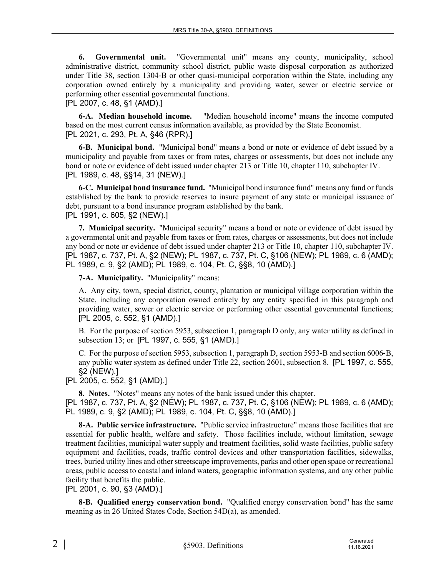**6. Governmental unit.** "Governmental unit" means any county, municipality, school administrative district, community school district, public waste disposal corporation as authorized under Title 38, section 1304‑B or other quasi-municipal corporation within the State, including any corporation owned entirely by a municipality and providing water, sewer or electric service or performing other essential governmental functions.

[PL 2007, c. 48, §1 (AMD).]

**6-A. Median household income.** "Median household income" means the income computed based on the most current census information available, as provided by the State Economist. [PL 2021, c. 293, Pt. A, §46 (RPR).]

**6-B. Municipal bond.** "Municipal bond" means a bond or note or evidence of debt issued by a municipality and payable from taxes or from rates, charges or assessments, but does not include any bond or note or evidence of debt issued under chapter 213 or Title 10, chapter 110, subchapter IV. [PL 1989, c. 48, §§14, 31 (NEW).]

**6-C. Municipal bond insurance fund.** "Municipal bond insurance fund" means any fund or funds established by the bank to provide reserves to insure payment of any state or municipal issuance of debt, pursuant to a bond insurance program established by the bank. [PL 1991, c. 605, §2 (NEW).]

**7. Municipal security.** "Municipal security" means a bond or note or evidence of debt issued by a governmental unit and payable from taxes or from rates, charges or assessments, but does not include any bond or note or evidence of debt issued under chapter 213 or Title 10, chapter 110, subchapter IV. [PL 1987, c. 737, Pt. A, §2 (NEW); PL 1987, c. 737, Pt. C, §106 (NEW); PL 1989, c. 6 (AMD); PL 1989, c. 9, §2 (AMD); PL 1989, c. 104, Pt. C, §§8, 10 (AMD).]

**7-A. Municipality.** "Municipality" means:

A. Any city, town, special district, county, plantation or municipal village corporation within the State, including any corporation owned entirely by any entity specified in this paragraph and providing water, sewer or electric service or performing other essential governmental functions; [PL 2005, c. 552, §1 (AMD).]

B. For the purpose of section 5953, subsection 1, paragraph D only, any water utility as defined in subsection 13; or [PL 1997, c. 555, §1 (AMD).]

C. For the purpose of section 5953, subsection 1, paragraph D, section 5953‑B and section 6006‑B, any public water system as defined under Title 22, section 2601, subsection 8. [PL 1997, c. 555, §2 (NEW).]

[PL 2005, c. 552, §1 (AMD).]

**8. Notes.** "Notes" means any notes of the bank issued under this chapter.

[PL 1987, c. 737, Pt. A, §2 (NEW); PL 1987, c. 737, Pt. C, §106 (NEW); PL 1989, c. 6 (AMD); PL 1989, c. 9, §2 (AMD); PL 1989, c. 104, Pt. C, §§8, 10 (AMD).]

**8-A. Public service infrastructure.** "Public service infrastructure" means those facilities that are essential for public health, welfare and safety. Those facilities include, without limitation, sewage treatment facilities, municipal water supply and treatment facilities, solid waste facilities, public safety equipment and facilities, roads, traffic control devices and other transportation facilities, sidewalks, trees, buried utility lines and other streetscape improvements, parks and other open space or recreational areas, public access to coastal and inland waters, geographic information systems, and any other public facility that benefits the public.

[PL 2001, c. 90, §3 (AMD).]

**8-B. Qualified energy conservation bond.** "Qualified energy conservation bond" has the same meaning as in 26 United States Code, Section 54D(a), as amended.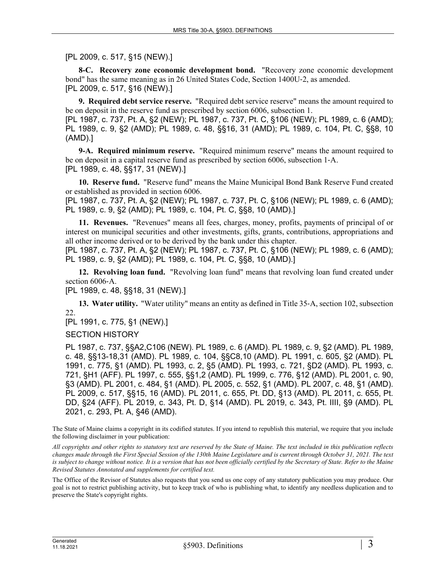[PL 2009, c. 517, §15 (NEW).]

**8-C. Recovery zone economic development bond.** "Recovery zone economic development bond" has the same meaning as in 26 United States Code, Section 1400U‑2, as amended. [PL 2009, c. 517, §16 (NEW).]

**9. Required debt service reserve.** "Required debt service reserve" means the amount required to be on deposit in the reserve fund as prescribed by section 6006, subsection 1.

[PL 1987, c. 737, Pt. A, §2 (NEW); PL 1987, c. 737, Pt. C, §106 (NEW); PL 1989, c. 6 (AMD); PL 1989, c. 9, §2 (AMD); PL 1989, c. 48, §§16, 31 (AMD); PL 1989, c. 104, Pt. C, §§8, 10 (AMD).]

**9-A. Required minimum reserve.** "Required minimum reserve" means the amount required to be on deposit in a capital reserve fund as prescribed by section 6006, subsection 1‑A. [PL 1989, c. 48, §§17, 31 (NEW).]

**10. Reserve fund.** "Reserve fund" means the Maine Municipal Bond Bank Reserve Fund created or established as provided in section 6006.

[PL 1987, c. 737, Pt. A, §2 (NEW); PL 1987, c. 737, Pt. C, §106 (NEW); PL 1989, c. 6 (AMD); PL 1989, c. 9, §2 (AMD); PL 1989, c. 104, Pt. C, §§8, 10 (AMD).]

**11. Revenues.** "Revenues" means all fees, charges, money, profits, payments of principal of or interest on municipal securities and other investments, gifts, grants, contributions, appropriations and all other income derived or to be derived by the bank under this chapter.

[PL 1987, c. 737, Pt. A, §2 (NEW); PL 1987, c. 737, Pt. C, §106 (NEW); PL 1989, c. 6 (AMD); PL 1989, c. 9, §2 (AMD); PL 1989, c. 104, Pt. C, §§8, 10 (AMD).]

**12. Revolving loan fund.** "Revolving loan fund" means that revolving loan fund created under section 6006-A.

[PL 1989, c. 48, §§18, 31 (NEW).]

**13. Water utility.** "Water utility" means an entity as defined in Title 35‑A, section 102, subsection 22.

[PL 1991, c. 775, §1 (NEW).]

SECTION HISTORY

PL 1987, c. 737, §§A2,C106 (NEW). PL 1989, c. 6 (AMD). PL 1989, c. 9, §2 (AMD). PL 1989, c. 48, §§13-18,31 (AMD). PL 1989, c. 104, §§C8,10 (AMD). PL 1991, c. 605, §2 (AMD). PL 1991, c. 775, §1 (AMD). PL 1993, c. 2, §5 (AMD). PL 1993, c. 721, §D2 (AMD). PL 1993, c. 721, §H1 (AFF). PL 1997, c. 555, §§1,2 (AMD). PL 1999, c. 776, §12 (AMD). PL 2001, c. 90, §3 (AMD). PL 2001, c. 484, §1 (AMD). PL 2005, c. 552, §1 (AMD). PL 2007, c. 48, §1 (AMD). PL 2009, c. 517, §§15, 16 (AMD). PL 2011, c. 655, Pt. DD, §13 (AMD). PL 2011, c. 655, Pt. DD, §24 (AFF). PL 2019, c. 343, Pt. D, §14 (AMD). PL 2019, c. 343, Pt. IIII, §9 (AMD). PL 2021, c. 293, Pt. A, §46 (AMD).

The State of Maine claims a copyright in its codified statutes. If you intend to republish this material, we require that you include the following disclaimer in your publication:

*All copyrights and other rights to statutory text are reserved by the State of Maine. The text included in this publication reflects changes made through the First Special Session of the 130th Maine Legislature and is current through October 31, 2021. The text*  is subject to change without notice. It is a version that has not been officially certified by the Secretary of State. Refer to the Maine *Revised Statutes Annotated and supplements for certified text.*

The Office of the Revisor of Statutes also requests that you send us one copy of any statutory publication you may produce. Our goal is not to restrict publishing activity, but to keep track of who is publishing what, to identify any needless duplication and to preserve the State's copyright rights.